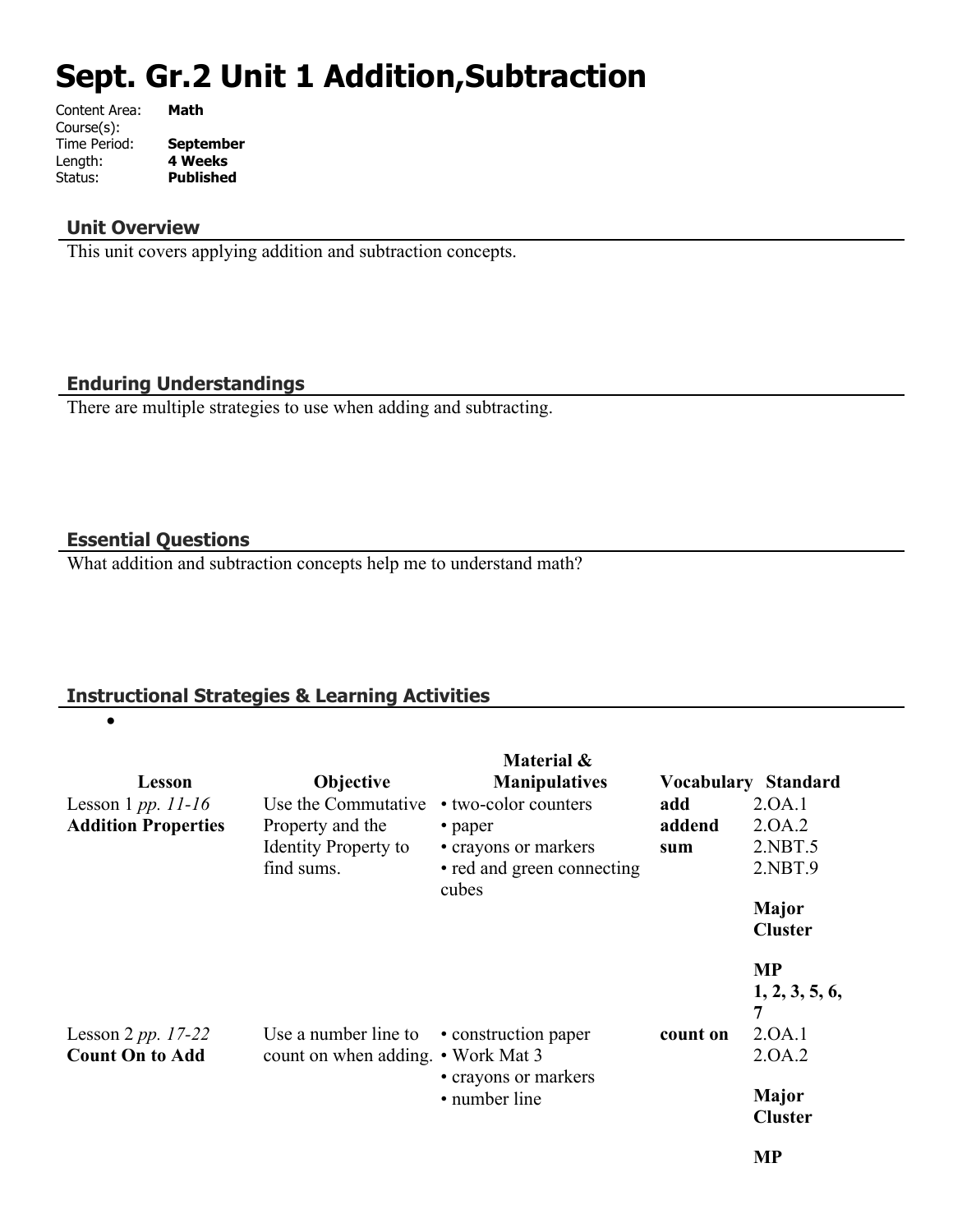# **Sept. Gr.2 Unit 1 Addition,Subtraction**

| Content Area: | Math             |
|---------------|------------------|
| Course(s):    |                  |
| Time Period:  | <b>September</b> |
| Length:       | <b>4 Weeks</b>   |
| Status:       | <b>Published</b> |
|               |                  |

#### **Unit Overview**

This unit covers applying addition and subtraction concepts.

## **Enduring Understandings**

There are multiple strategies to use when adding and subtracting.

## **Essential Questions**

 $\bullet$ 

What addition and subtraction concepts help me to understand math?

## **Instructional Strategies & Learning Activities**

| Lesson<br>Lesson 1 pp. $11-16$<br><b>Addition Properties</b> | <b>Objective</b><br>Use the Commutative<br>Property and the<br><b>Identity Property to</b><br>find sums. | Material &<br><b>Manipulatives</b><br>• two-color counters<br>• paper<br>• crayons or markers<br>• red and green connecting<br>cubes | add<br>addend<br>sum | <b>Vocabulary Standard</b><br>2.0A.1<br>2.0A.2<br>2.NBT.5<br>2.NBT.9<br>Major<br><b>Cluster</b> |
|--------------------------------------------------------------|----------------------------------------------------------------------------------------------------------|--------------------------------------------------------------------------------------------------------------------------------------|----------------------|-------------------------------------------------------------------------------------------------|
| Lesson 2 pp. $17-22$<br><b>Count On to Add</b>               | Use a number line to<br>count on when adding. • Work Mat 3                                               | • construction paper<br>• crayons or markers<br>• number line                                                                        | count on             | <b>MP</b><br>1, 2, 3, 5, 6,<br>7<br>2.0A.1<br>2.0A.2<br>Major<br><b>Cluster</b>                 |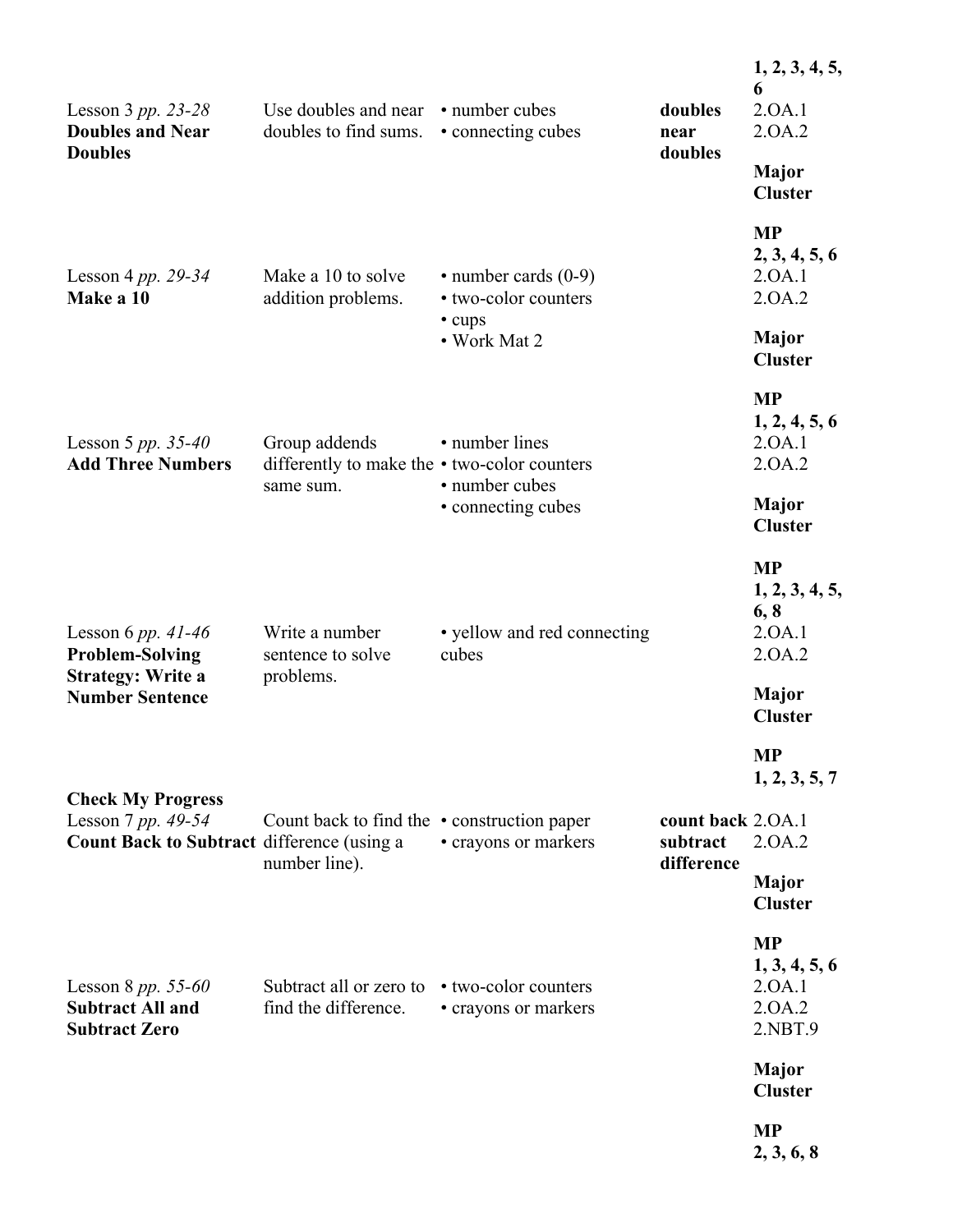| Lesson 3 pp. 23-28<br><b>Doubles and Near</b>                                                | Use doubles and near<br>doubles to find sums.                              | • number cubes<br>• connecting cubes                                         | doubles<br>near               | 1, 2, 3, 4, 5,<br>6<br>2.0A.1<br>2.0A.2                   |
|----------------------------------------------------------------------------------------------|----------------------------------------------------------------------------|------------------------------------------------------------------------------|-------------------------------|-----------------------------------------------------------|
| <b>Doubles</b>                                                                               |                                                                            |                                                                              | doubles                       | Major<br><b>Cluster</b>                                   |
| Lesson 4 pp. $29-34$<br>Make a 10                                                            | Make a 10 to solve<br>addition problems.                                   | $\cdot$ number cards (0-9)<br>• two-color counters<br>• cups<br>• Work Mat 2 |                               | <b>MP</b><br>2, 3, 4, 5, 6<br>2.0A.1<br>2.0A.2            |
|                                                                                              |                                                                            |                                                                              |                               | <b>Major</b><br><b>Cluster</b>                            |
| Lesson 5 pp. $35-40$<br><b>Add Three Numbers</b>                                             | Group addends<br>differently to make the • two-color counters<br>same sum. | • number lines<br>• number cubes<br>• connecting cubes                       |                               | <b>MP</b><br>1, 2, 4, 5, 6<br>2.0A.1<br>2.0A.2            |
|                                                                                              |                                                                            |                                                                              |                               | <b>Major</b><br><b>Cluster</b>                            |
| Lesson 6 pp. $41-46$<br><b>Problem-Solving</b>                                               | Write a number<br>sentence to solve                                        | • yellow and red connecting<br>cubes                                         |                               | <b>MP</b><br>1, 2, 3, 4, 5,<br>6, 8<br>2.0A.1<br>2.0A.2   |
| <b>Strategy: Write a</b><br><b>Number Sentence</b>                                           | problems.                                                                  |                                                                              |                               | Major<br><b>Cluster</b>                                   |
|                                                                                              |                                                                            |                                                                              |                               | <b>MP</b><br>1, 2, 3, 5, 7                                |
| <b>Check My Progress</b><br>Lesson 7 pp. 49-54<br>Count Back to Subtract difference (using a | Count back to find the $\cdot$ construction paper                          | • crayons or markers                                                         | count back 2.0A.1<br>subtract | 2.0A.2                                                    |
|                                                                                              | number line).                                                              |                                                                              | difference                    | <b>Major</b><br><b>Cluster</b>                            |
| Lesson 8 $pp. 55-60$<br><b>Subtract All and</b><br><b>Subtract Zero</b>                      | Subtract all or zero to<br>find the difference.                            | • two-color counters<br>• crayons or markers                                 |                               | <b>MP</b><br>1, 3, 4, 5, 6<br>2.0A.1<br>2.0A.2<br>2.NBT.9 |
|                                                                                              |                                                                            |                                                                              |                               | <b>Major</b><br><b>Cluster</b>                            |
|                                                                                              |                                                                            |                                                                              |                               | <b>MP</b><br>2, 3, 6, 8                                   |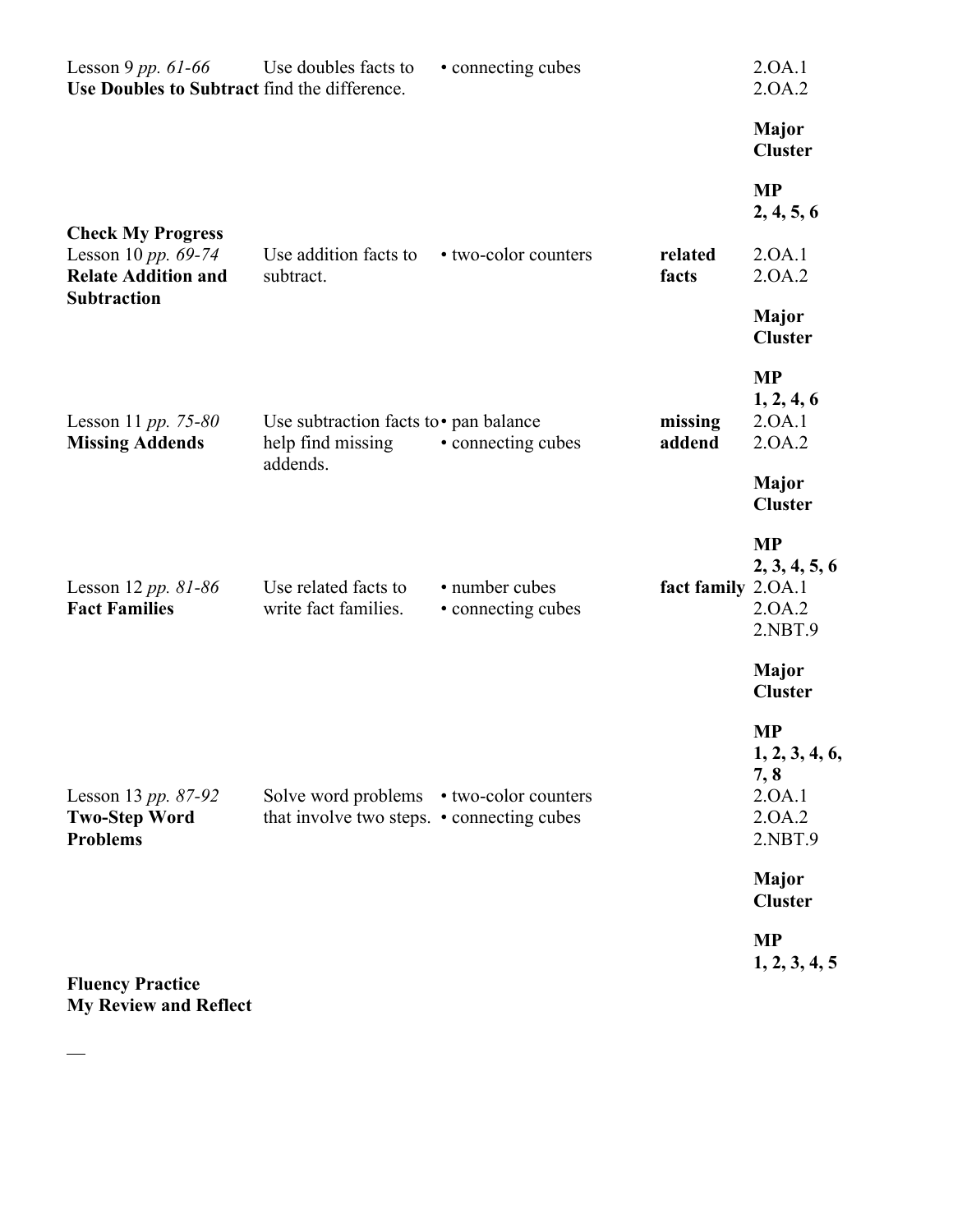| Lesson 9 pp. $61-66$<br>Use Doubles to Subtract find the difference.          | Use doubles facts to                                                                   | • connecting cubes                   |                    | 2.0A.1<br>2.0A.2                                                   |
|-------------------------------------------------------------------------------|----------------------------------------------------------------------------------------|--------------------------------------|--------------------|--------------------------------------------------------------------|
|                                                                               |                                                                                        |                                      |                    | <b>Major</b><br><b>Cluster</b>                                     |
|                                                                               |                                                                                        |                                      |                    | <b>MP</b><br>2, 4, 5, 6                                            |
| <b>Check My Progress</b><br>Lesson 10 pp. 69-74<br><b>Relate Addition and</b> | Use addition facts to<br>subtract.                                                     | • two-color counters                 | related<br>facts   | 2.0A.1<br>2.0A.2                                                   |
| <b>Subtraction</b>                                                            |                                                                                        |                                      |                    | <b>Major</b><br><b>Cluster</b>                                     |
| Lesson 11 pp. 75-80<br><b>Missing Addends</b>                                 | Use subtraction facts to • pan balance<br>help find missing                            | • connecting cubes                   | missing<br>addend  | <b>MP</b><br>1, 2, 4, 6<br>2.0A.1<br>2.0A.2                        |
|                                                                               | addends.                                                                               |                                      |                    | <b>Major</b><br><b>Cluster</b>                                     |
| Lesson 12 pp. $81-86$<br><b>Fact Families</b>                                 | Use related facts to<br>write fact families.                                           | • number cubes<br>• connecting cubes | fact family 2.0A.1 | <b>MP</b><br>2, 3, 4, 5, 6<br>2.0A.2<br>2.NBT.9                    |
|                                                                               |                                                                                        |                                      |                    | Major<br><b>Cluster</b>                                            |
| Lesson 13 pp. 87-92<br><b>Two-Step Word</b><br><b>Problems</b>                | Solve word problems • two-color counters<br>that involve two steps. • connecting cubes |                                      |                    | <b>MP</b><br>1, 2, 3, 4, 6,<br>7, 8<br>2.0A.1<br>2.0A.2<br>2.NBT.9 |
|                                                                               |                                                                                        |                                      |                    | Major<br><b>Cluster</b>                                            |
| <b>Fluency Practice</b>                                                       |                                                                                        |                                      |                    | <b>MP</b><br>1, 2, 3, 4, 5                                         |

**My Review and Reflect**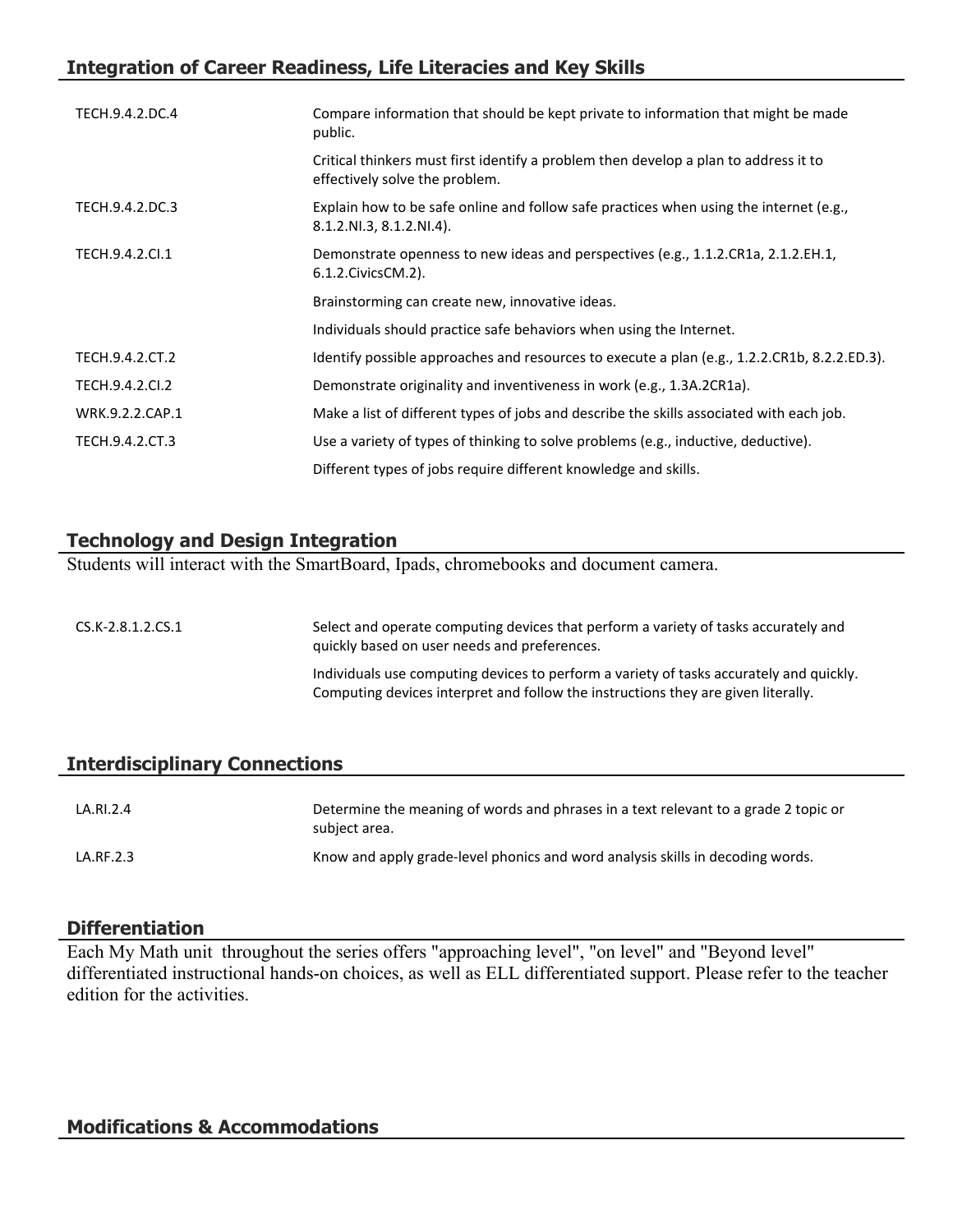# **Integration of Career Readiness, Life Literacies and Key Skills**

| TECH.9.4.2.DC.4 | Compare information that should be kept private to information that might be made<br>public.                           |
|-----------------|------------------------------------------------------------------------------------------------------------------------|
|                 | Critical thinkers must first identify a problem then develop a plan to address it to<br>effectively solve the problem. |
| TECH.9.4.2.DC.3 | Explain how to be safe online and follow safe practices when using the internet (e.g.,<br>8.1.2.NI.3, 8.1.2.NI.4).     |
| TECH.9.4.2.Cl.1 | Demonstrate openness to new ideas and perspectives (e.g., 1.1.2.CR1a, 2.1.2.EH.1,<br>6.1.2. Civics CM. 2).             |
|                 | Brainstorming can create new, innovative ideas.                                                                        |
|                 | Individuals should practice safe behaviors when using the Internet.                                                    |
| TECH.9.4.2.CT.2 | Identify possible approaches and resources to execute a plan (e.g., 1.2.2.CR1b, 8.2.2.ED.3).                           |
| TECH.9.4.2.CI.2 | Demonstrate originality and inventiveness in work (e.g., 1.3A.2CR1a).                                                  |
| WRK.9.2.2.CAP.1 | Make a list of different types of jobs and describe the skills associated with each job.                               |
| TECH.9.4.2.CT.3 | Use a variety of types of thinking to solve problems (e.g., inductive, deductive).                                     |
|                 | Different types of jobs require different knowledge and skills.                                                        |

## **Technology and Design Integration**

Students will interact with the SmartBoard, Ipads, chromebooks and document camera.

| CS.K-2.8.1.2.CS.1 | Select and operate computing devices that perform a variety of tasks accurately and<br>quickly based on user needs and preferences.                                          |
|-------------------|------------------------------------------------------------------------------------------------------------------------------------------------------------------------------|
|                   | Individuals use computing devices to perform a variety of tasks accurately and quickly.<br>Computing devices interpret and follow the instructions they are given literally. |

## **Interdisciplinary Connections**

| LA.RI.2.4 | Determine the meaning of words and phrases in a text relevant to a grade 2 topic or<br>subject area. |
|-----------|------------------------------------------------------------------------------------------------------|
| LA.RF.2.3 | Know and apply grade-level phonics and word analysis skills in decoding words.                       |

#### **Differentiation**

Each My Math unit throughout the series offers "approaching level", "on level" and "Beyond level" differentiated instructional hands-on choices, as well as ELL differentiated support. Please refer to the teacher edition for the activities.

#### **Modifications & Accommodations**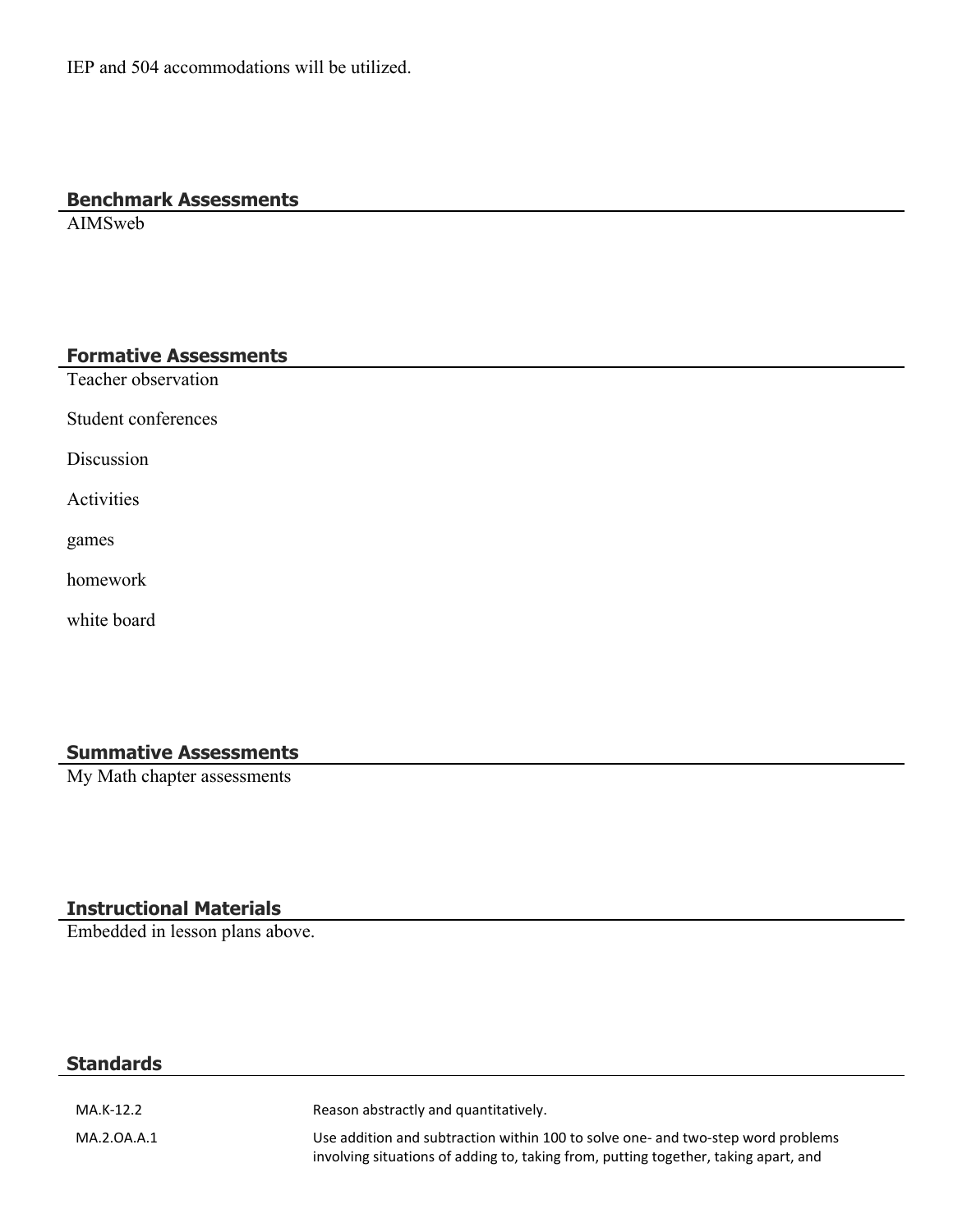#### **Benchmark Assessments**

AIMSweb

#### **Formative Assessments**

Teacher observation

Student conferences

Discussion

Activities

games

homework

white board

#### **Summative Assessments**

My Math chapter assessments

#### **Instructional Materials**

Embedded in lesson plans above.

#### **Standards**

MA.K-12.2 Reason abstractly and quantitatively. MA.2.OA.A.1 Use addition and subtraction within 100 to solve one- and two-step word problems involving situations of adding to, taking from, putting together, taking apart, and